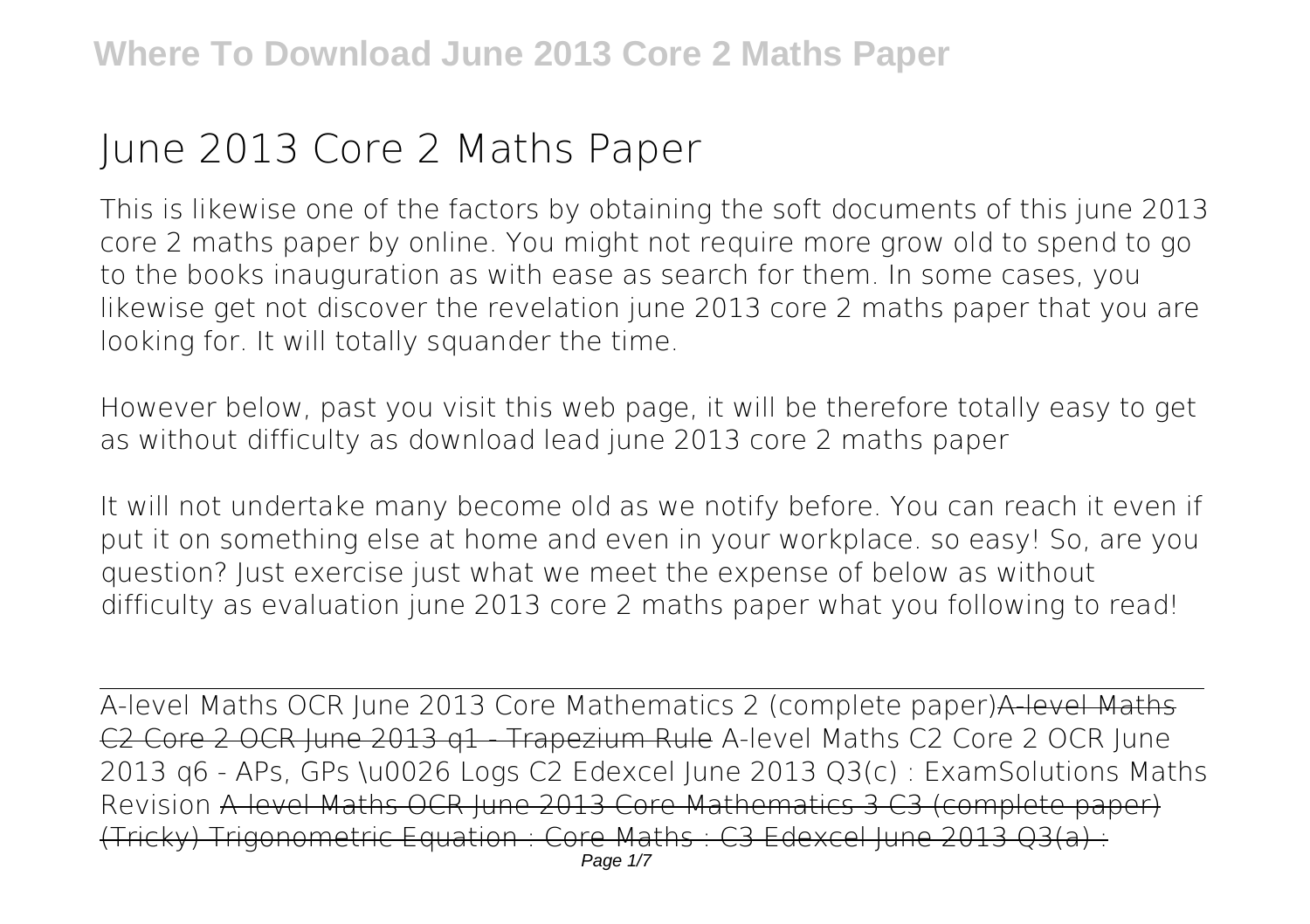## **June 2013 Core 2 Maths Paper**

This is likewise one of the factors by obtaining the soft documents of this **june 2013 core 2 maths paper** by online. You might not require more grow old to spend to go to the books inauguration as with ease as search for them. In some cases, you likewise get not discover the revelation june 2013 core 2 maths paper that you are looking for. It will totally squander the time.

However below, past you visit this web page, it will be therefore totally easy to get as without difficulty as download lead june 2013 core 2 maths paper

It will not undertake many become old as we notify before. You can reach it even if put it on something else at home and even in your workplace. so easy! So, are you question? Just exercise just what we meet the expense of below as without difficulty as evaluation **june 2013 core 2 maths paper** what you following to read!

A-level Maths OCR June 2013 Core Mathematics 2 (complete paper)A-level Maths C2 Core 2 OCR June 2013 q1 - Trapezium Rule *A-level Maths C2 Core 2 OCR June 2013 q6 - APs, GPs \u0026 Logs C2 Edexcel June 2013 Q3(c) : ExamSolutions Maths Revision* A-level Maths OCR June 2013 Core Mathematics 3 C3 (complete paper) (Tricky) Trigonometric Equation : Core Maths : C3 Edexcel June 2013 Q3(a) :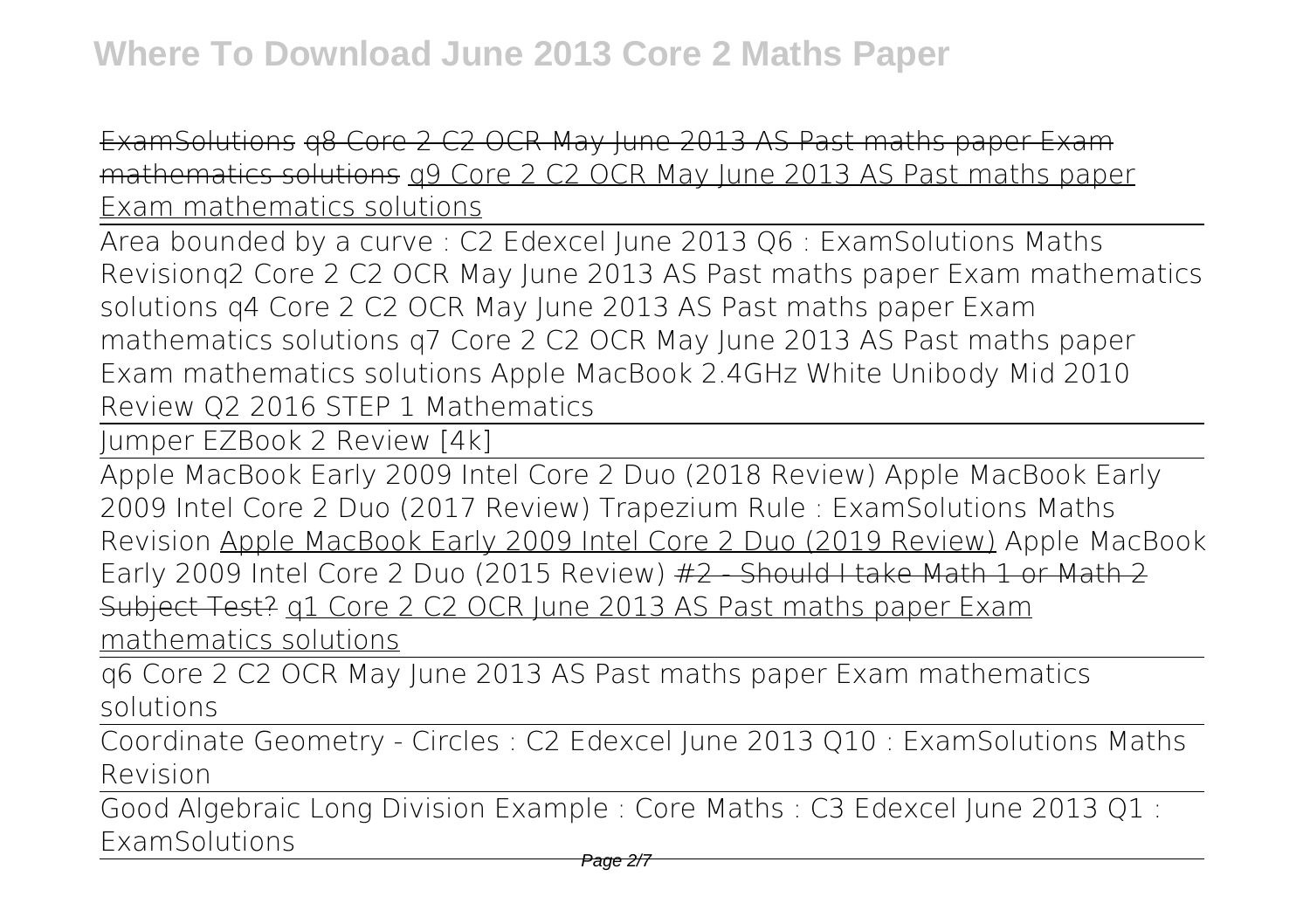ExamSolutions q8 Core 2 C2 OCR May June 2013 AS Past maths paper Exam mathematics solutions q9 Core 2 C2 OCR May June 2013 AS Past maths paper Exam mathematics solutions

Area bounded by a curve : C2 Edexcel June 2013 Q6 : ExamSolutions Maths Revision*q2 Core 2 C2 OCR May June 2013 AS Past maths paper Exam mathematics solutions q4 Core 2 C2 OCR May June 2013 AS Past maths paper Exam mathematics solutions q7 Core 2 C2 OCR May June 2013 AS Past maths paper Exam mathematics solutions Apple MacBook 2.4GHz White Unibody Mid 2010 Review* **Q2 2016 STEP 1 Mathematics**

Jumper EZBook 2 Review [4k]

Apple MacBook Early 2009 Intel Core 2 Duo (2018 Review) Apple MacBook Early 2009 Intel Core 2 Duo (2017 Review) Trapezium Rule : ExamSolutions Maths Revision Apple MacBook Early 2009 Intel Core 2 Duo (2019 Review) **Apple MacBook Early 2009 Intel Core 2 Duo (2015 Review)** #2 - Should I take Math 1 or Math 2 Subject Test? q1 Core 2 C2 OCR June 2013 AS Past maths paper Exam mathematics solutions

q6 Core 2 C2 OCR May June 2013 AS Past maths paper Exam mathematics solutions

Coordinate Geometry - Circles : C2 Edexcel June 2013 Q10 : ExamSolutions Maths Revision

Good Algebraic Long Division Example : Core Maths : C3 Edexcel June 2013 Q1 : ExamSolutions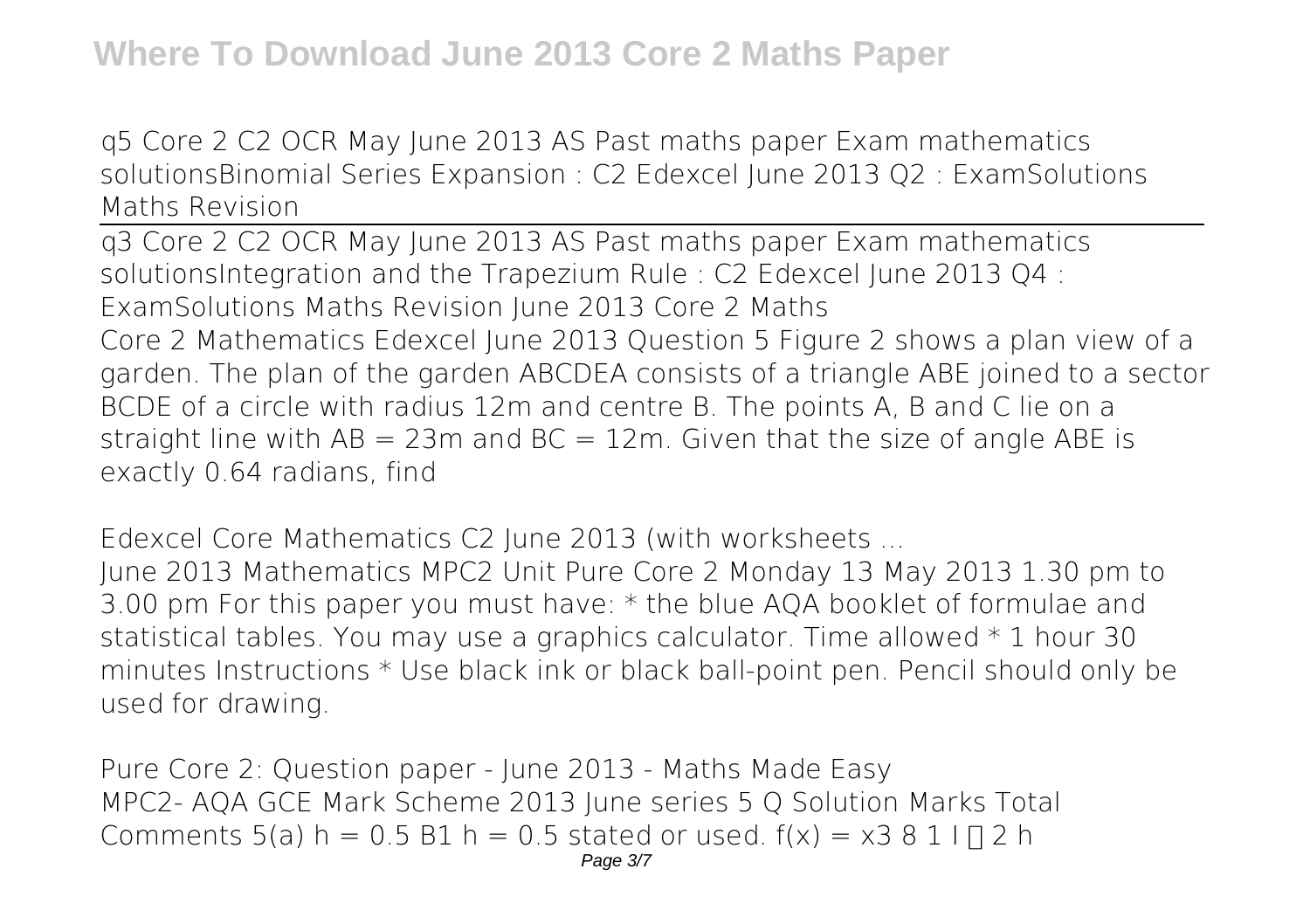q5 Core 2 C2 OCR May June 2013 AS Past maths paper Exam mathematics solutions*Binomial Series Expansion : C2 Edexcel June 2013 Q2 : ExamSolutions Maths Revision*

q3 Core 2 C2 OCR May June 2013 AS Past maths paper Exam mathematics solutions*Integration and the Trapezium Rule : C2 Edexcel June 2013 Q4 : ExamSolutions Maths Revision June 2013 Core 2 Maths* Core 2 Mathematics Edexcel June 2013 Question 5 Figure 2 shows a plan view of a garden. The plan of the garden ABCDEA consists of a triangle ABE joined to a sector BCDE of a circle with radius 12m and centre B. The points A, B and C lie on a straight line with  $AB = 23m$  and  $BC = 12m$ . Given that the size of angle ABE is exactly 0.64 radians, find

*Edexcel Core Mathematics C2 June 2013 (with worksheets ...*

June 2013 Mathematics MPC2 Unit Pure Core 2 Monday 13 May 2013 1.30 pm to 3.00 pm For this paper you must have: \* the blue AQA booklet of formulae and statistical tables. You may use a graphics calculator. Time allowed \* 1 hour 30 minutes Instructions \* Use black ink or black ball-point pen. Pencil should only be used for drawing.

*Pure Core 2: Question paper - June 2013 - Maths Made Easy* MPC2- AQA GCE Mark Scheme 2013 June series 5 Q Solution Marks Total Comments 5(a) h =  $0.5$  B1 h =  $0.5$  stated or used.  $f(x) = x3811 \square 2$  h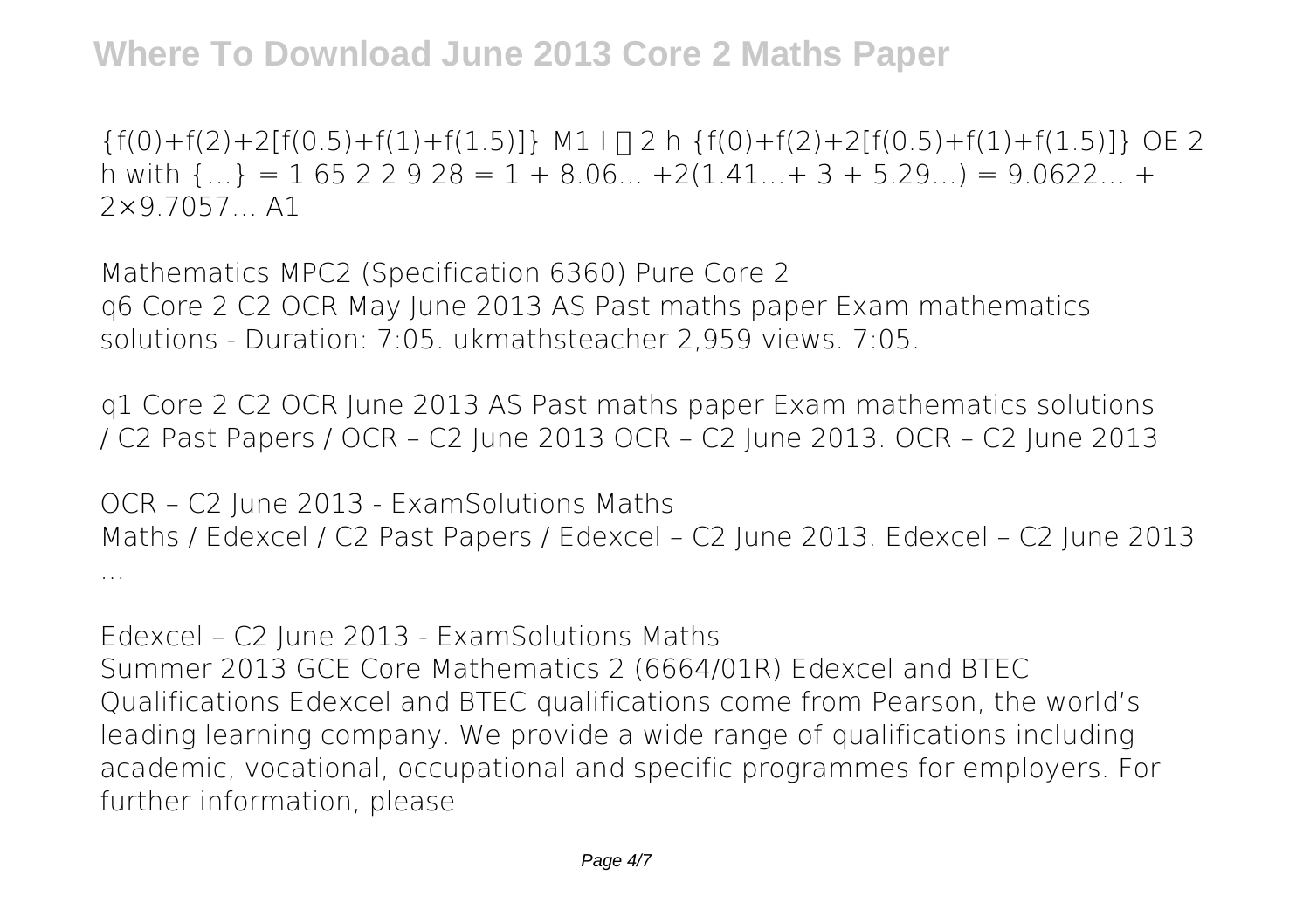**Where To Download June 2013 Core 2 Maths Paper**

 ${f(0)+f(2)+2[f(0.5)+f(1)+f(1.5)]}$  M1  $\Box$  h  ${f(0)+f(2)+2[f(0.5)+f(1)+f(1.5)]}$  OE 2 h with  $\{... \} = 1\,65\,2\,2\,9\,28 = 1 + 8.06... + 2(1.41... + 3 + 5.29...) = 9.0622... +$ 2×9.7057… A1

*Mathematics MPC2 (Specification 6360) Pure Core 2* q6 Core 2 C2 OCR May June 2013 AS Past maths paper Exam mathematics solutions - Duration: 7:05. ukmathsteacher 2,959 views. 7:05.

*q1 Core 2 C2 OCR June 2013 AS Past maths paper Exam mathematics solutions* / C2 Past Papers / OCR – C2 June 2013 OCR – C2 June 2013. OCR – C2 June 2013

*OCR – C2 June 2013 - ExamSolutions Maths* Maths / Edexcel / C2 Past Papers / Edexcel – C2 June 2013. Edexcel – C2 June 2013 ...

*Edexcel – C2 June 2013 - ExamSolutions Maths* Summer 2013 GCE Core Mathematics 2 (6664/01R) Edexcel and BTEC Qualifications Edexcel and BTEC qualifications come from Pearson, the world's leading learning company. We provide a wide range of qualifications including

academic, vocational, occupational and specific programmes for employers. For further information, please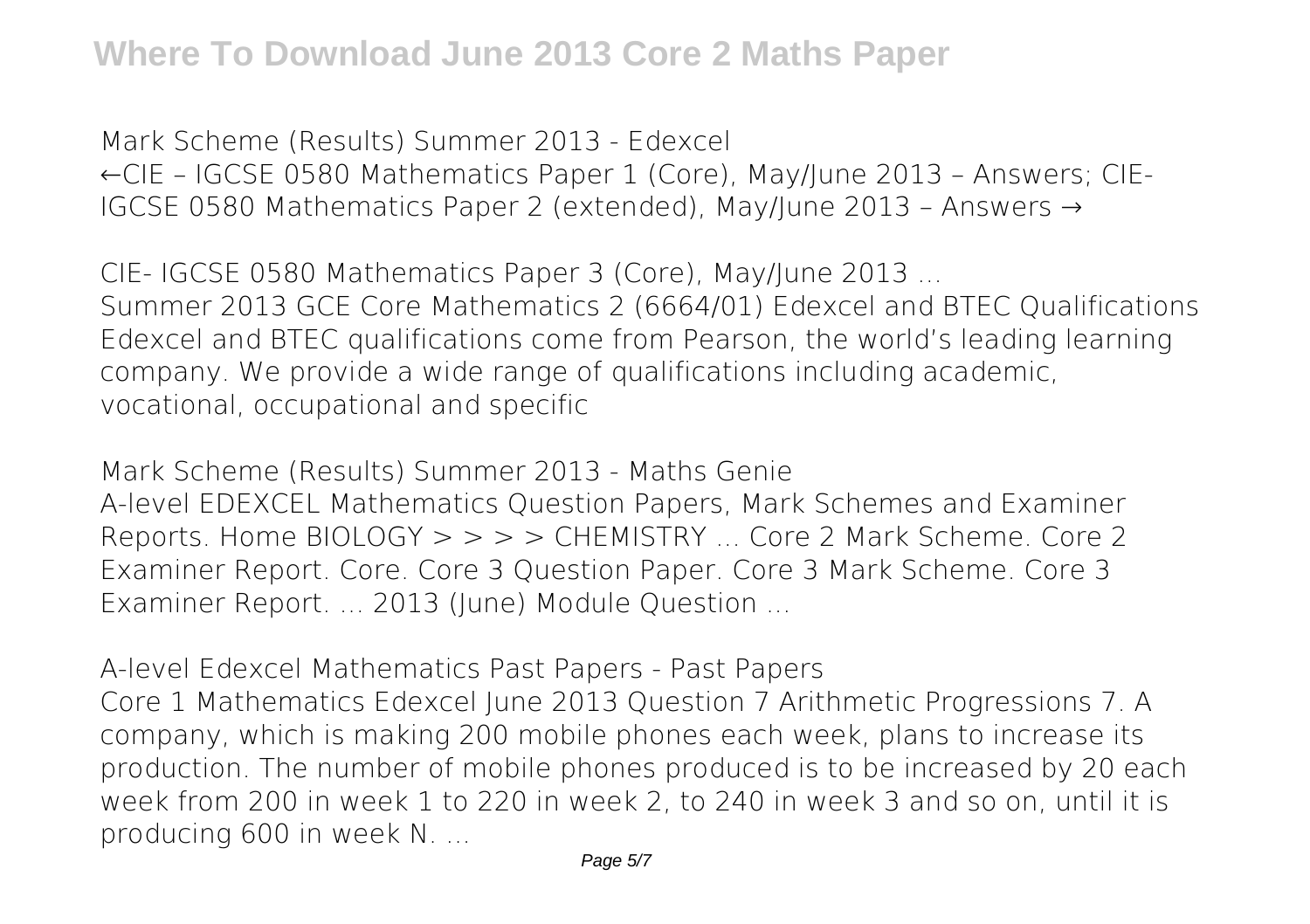*Mark Scheme (Results) Summer 2013 - Edexcel* ←CIE – IGCSE 0580 Mathematics Paper 1 (Core), May/June 2013 – Answers; CIE-IGCSE 0580 Mathematics Paper 2 (extended), May/June 2013 – Answers →

*CIE- IGCSE 0580 Mathematics Paper 3 (Core), May/June 2013 ...* Summer 2013 GCE Core Mathematics 2 (6664/01) Edexcel and BTEC Qualifications Edexcel and BTEC qualifications come from Pearson, the world's leading learning company. We provide a wide range of qualifications including academic, vocational, occupational and specific

*Mark Scheme (Results) Summer 2013 - Maths Genie* A-level EDEXCEL Mathematics Question Papers, Mark Schemes and Examiner Reports. Home BIOLOGY > > > > CHEMISTRY ... Core 2 Mark Scheme. Core 2 Examiner Report. Core. Core 3 Question Paper. Core 3 Mark Scheme. Core 3 Examiner Report. ... 2013 (June) Module Question ...

*A-level Edexcel Mathematics Past Papers - Past Papers* Core 1 Mathematics Edexcel June 2013 Question 7 Arithmetic Progressions 7. A company, which is making 200 mobile phones each week, plans to increase its production. The number of mobile phones produced is to be increased by 20 each week from 200 in week 1 to 220 in week 2, to 240 in week 3 and so on, until it is producing 600 in week N. ...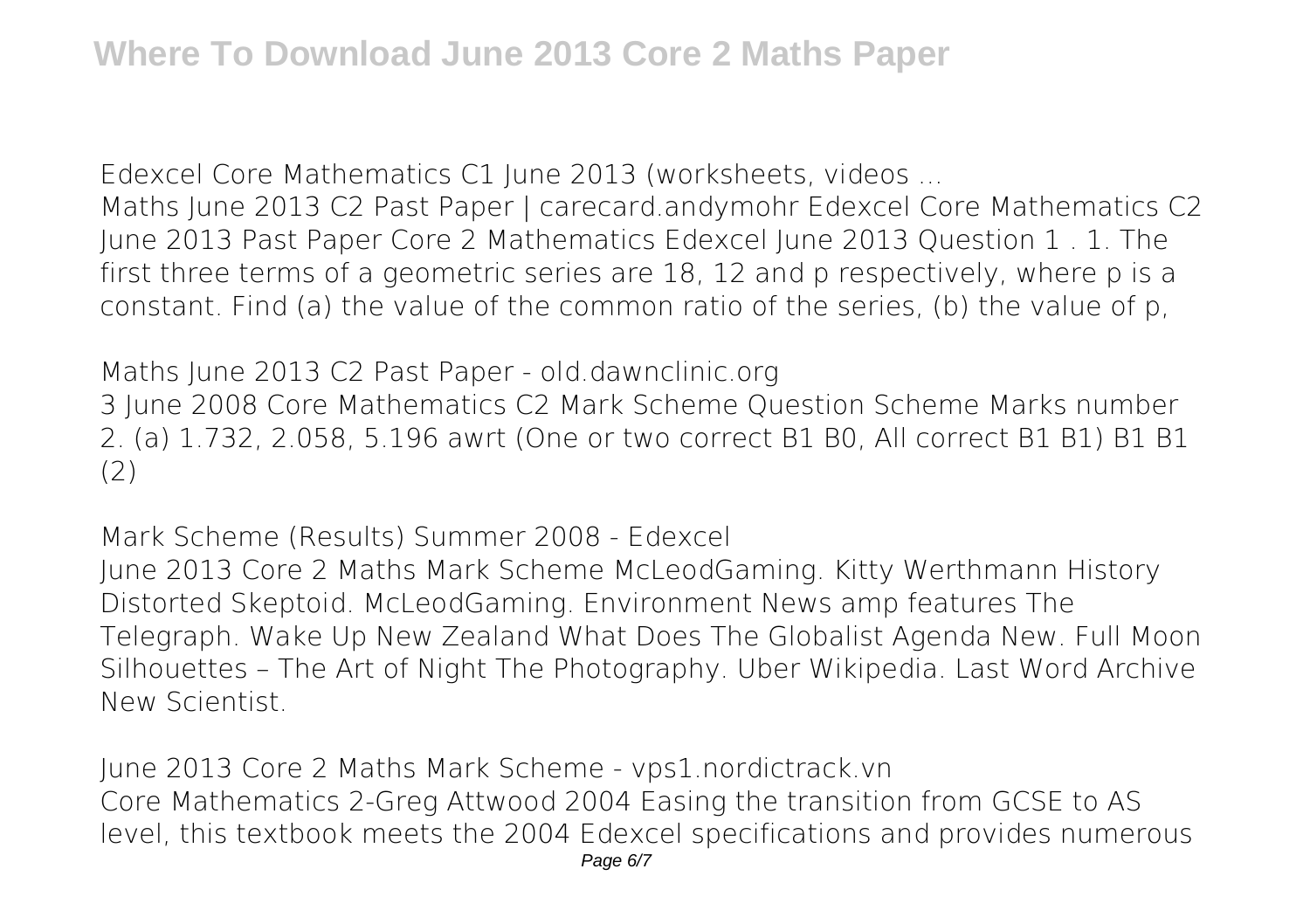*Edexcel Core Mathematics C1 June 2013 (worksheets, videos ...*

Maths June 2013 C2 Past Paper | carecard.andymohr Edexcel Core Mathematics C2 June 2013 Past Paper Core 2 Mathematics Edexcel June 2013 Question 1 . 1. The first three terms of a geometric series are 18, 12 and p respectively, where p is a constant. Find (a) the value of the common ratio of the series, (b) the value of p,

*Maths June 2013 C2 Past Paper - old.dawnclinic.org*

3 June 2008 Core Mathematics C2 Mark Scheme Question Scheme Marks number 2. (a) 1.732, 2.058, 5.196 awrt (One or two correct B1 B0, All correct B1 B1) B1 B1 (2)

*Mark Scheme (Results) Summer 2008 - Edexcel*

June 2013 Core 2 Maths Mark Scheme McLeodGaming. Kitty Werthmann History Distorted Skeptoid. McLeodGaming. Environment News amp features The Telegraph. Wake Up New Zealand What Does The Globalist Agenda New. Full Moon Silhouettes – The Art of Night The Photography. Uber Wikipedia. Last Word Archive New Scientist.

*June 2013 Core 2 Maths Mark Scheme - vps1.nordictrack.vn* Core Mathematics 2-Greg Attwood 2004 Easing the transition from GCSE to AS level, this textbook meets the 2004 Edexcel specifications and provides numerous